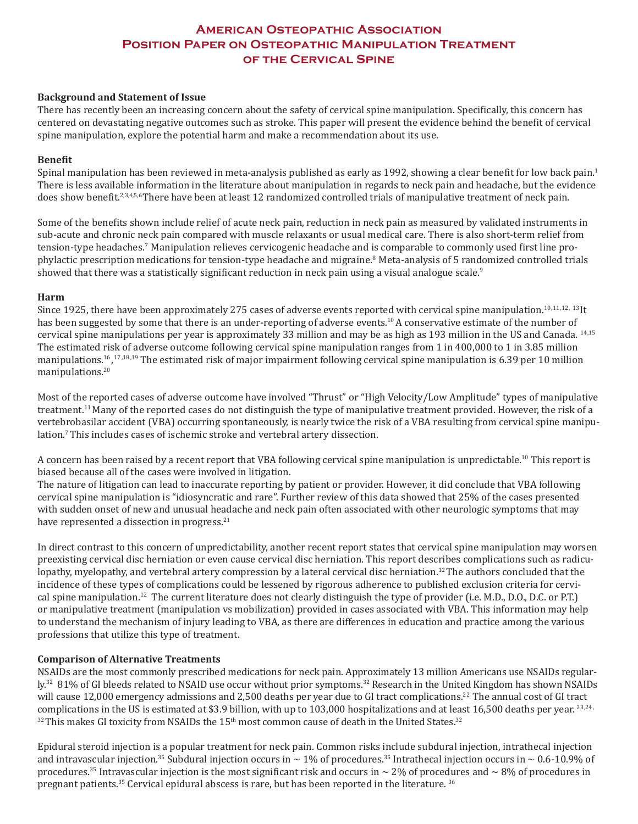# **American Osteopathic Association Position Paper on Osteopathic Manipulation Treatment of the Cervical Spine**

## **Background and Statement of Issue**

There has recently been an increasing concern about the safety of cervical spine manipulation. Specifically, this concern has centered on devastating negative outcomes such as stroke. This paper will present the evidence behind the benefit of cervical spine manipulation, explore the potential harm and make a recommendation about its use.

## **Benefit**

Spinal manipulation has been reviewed in meta-analysis published as early as 1992, showing a clear benefit for low back pain.<sup>1</sup> There is less available information in the literature about manipulation in regards to neck pain and headache, but the evidence does show benefit.<sup>2,3,4,5,6</sup>There have been at least 12 randomized controlled trials of manipulative treatment of neck pain.

Some of the benefits shown include relief of acute neck pain, reduction in neck pain as measured by validated instruments in sub-acute and chronic neck pain compared with muscle relaxants or usual medical care. There is also short-term relief from tension-type headaches.7 Manipulation relieves cervicogenic headache and is comparable to commonly used first line prophylactic prescription medications for tension-type headache and migraine.<sup>8</sup> Meta-analysis of 5 randomized controlled trials showed that there was a statistically significant reduction in neck pain using a visual analogue scale.<sup>9</sup>

#### **Harm**

Since 1925, there have been approximately 275 cases of adverse events reported with cervical spine manipulation.10,11,12, <sup>13</sup>It has been suggested by some that there is an under-reporting of adverse events.<sup>10</sup> A conservative estimate of the number of cervical spine manipulations per year is approximately 33 million and may be as high as 193 million in the US and Canada. 14,15 The estimated risk of adverse outcome following cervical spine manipulation ranges from 1 in 400,000 to 1 in 3.85 million manipulations.16, 17,18,19 The estimated risk of major impairment following cervical spine manipulation is 6.39 per 10 million manipulations.20

Most of the reported cases of adverse outcome have involved "Thrust" or "High Velocity/Low Amplitude" types of manipulative treatment.<sup>11</sup> Many of the reported cases do not distinguish the type of manipulative treatment provided. However, the risk of a vertebrobasilar accident (VBA) occurring spontaneously, is nearly twice the risk of a VBA resulting from cervical spine manipulation.7 This includes cases of ischemic stroke and vertebral artery dissection.

A concern has been raised by a recent report that VBA following cervical spine manipulation is unpredictable.10 This report is biased because all of the cases were involved in litigation.

The nature of litigation can lead to inaccurate reporting by patient or provider. However, it did conclude that VBA following cervical spine manipulation is "idiosyncratic and rare". Further review of this data showed that 25% of the cases presented with sudden onset of new and unusual headache and neck pain often associated with other neurologic symptoms that may have represented a dissection in progress.<sup>21</sup>

In direct contrast to this concern of unpredictability, another recent report states that cervical spine manipulation may worsen preexisting cervical disc herniation or even cause cervical disc herniation. This report describes complications such as radiculopathy, myelopathy, and vertebral artery compression by a lateral cervical disc herniation.<sup>12</sup> The authors concluded that the incidence of these types of complications could be lessened by rigorous adherence to published exclusion criteria for cervical spine manipulation.<sup>12</sup> The current literature does not clearly distinguish the type of provider (i.e. M.D., D.O., D.C. or P.T.) or manipulative treatment (manipulation vs mobilization) provided in cases associated with VBA. This information may help to understand the mechanism of injury leading to VBA, as there are differences in education and practice among the various professions that utilize this type of treatment.

#### **Comparison of Alternative Treatments**

NSAIDs are the most commonly prescribed medications for neck pain. Approximately 13 million Americans use NSAIDs regularly.<sup>32</sup> 81% of GI bleeds related to NSAID use occur without prior symptoms.<sup>32</sup> Research in the United Kingdom has shown NSAIDs will cause 12,000 emergency admissions and 2,500 deaths per year due to GI tract complications.<sup>22</sup> The annual cost of GI tract complications in the US is estimated at \$3.9 billion, with up to 103,000 hospitalizations and at least 16,500 deaths per year. <sup>23,24,</sup>  $32$  This makes GI toxicity from NSAIDs the 15<sup>th</sup> most common cause of death in the United States.<sup>32</sup>

Epidural steroid injection is a popular treatment for neck pain. Common risks include subdural injection, intrathecal injection and intravascular injection.<sup>35</sup> Subdural injection occurs in  $\sim 1\%$  of procedures.<sup>35</sup> Intrathecal injection occurs in  $\sim 0.6$ -10.9% of procedures.<sup>35</sup> Intravascular injection is the most significant risk and occurs in  $\sim$  2% of procedures and  $\sim$  8% of procedures in pregnant patients.<sup>35</sup> Cervical epidural abscess is rare, but has been reported in the literature.<sup>36</sup>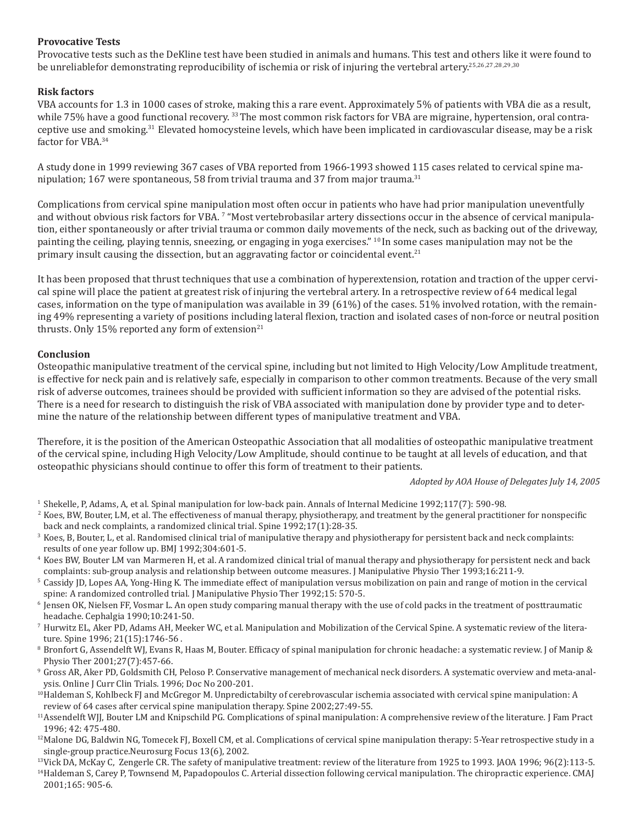# **Provocative Tests**

Provocative tests such as the DeKline test have been studied in animals and humans. This test and others like it were found to be unreliablefor demonstrating reproducibility of ischemia or risk of injuring the vertebral artery.25,26,27,28,29,30

# **Risk factors**

VBA accounts for 1.3 in 1000 cases of stroke, making this a rare event. Approximately 5% of patients with VBA die as a result, while 75% have a good functional recovery. <sup>33</sup> The most common risk factors for VBA are migraine, hypertension, oral contraceptive use and smoking.31 Elevated homocysteine levels, which have been implicated in cardiovascular disease, may be a risk factor for VBA.<sup>34</sup>

A study done in 1999 reviewing 367 cases of VBA reported from 1966-1993 showed 115 cases related to cervical spine manipulation;  $167$  were spontaneous, 58 from trivial trauma and 37 from major trauma.<sup>31</sup>

Complications from cervical spine manipulation most often occur in patients who have had prior manipulation uneventfully and without obvious risk factors for VBA. <sup>7</sup> "Most vertebrobasilar artery dissections occur in the absence of cervical manipula<mark>-</mark> tion, either spontaneously or after trivial trauma or common daily movements of the neck, such as backing out of the driveway, painting the ceiling, playing tennis, sneezing, or engaging in yoga exercises." 10 In some cases manipulation may not be the primary insult causing the dissection, but an aggravating factor or coincidental event.<sup>21</sup>

It has been proposed that thrust techniques that use a combination of hyperextension, rotation and traction of the upper cervical spine will place the patient at greatest risk of injuring the vertebral artery. In a retrospective review of 64 medical legal cases, information on the type of manipulation was available in 39 (61%) of the cases. 51% involved rotation, with the remaining 49% representing a variety of positions including lateral flexion, traction and isolated cases of non-force or neutral position thrusts. Only  $15\%$  reported any form of extension<sup>21</sup>

# **Conclusion**

Osteopathic manipulative treatment of the cervical spine, including but not limited to High Velocity/Low Amplitude treatment, is effective for neck pain and is relatively safe, especially in comparison to other common treatments. Because of the very small risk of adverse outcomes, trainees should be provided with sufficient information so they are advised of the potential risks. There is a need for research to distinguish the risk of VBA associated with manipulation done by provider type and to determine the nature of the relationship between different types of manipulative treatment and VBA.

Therefore, it is the position of the American Osteopathic Association that all modalities of osteopathic manipulative treatment of the cervical spine, including High Velocity/Low Amplitude, should continue to be taught at all levels of education, and that osteopathic physicians should continue to offer this form of treatment to their patients.

*Adopted by AOA House of Delegates July 14, 2005*

- <sup>1</sup> Shekelle, P, Adams, A, et al. Spinal manipulation for low-back pain. Annals of Internal Medicine 1992;117(7): 590-98.
- <sup>2</sup> Koes, BW, Bouter, LM, et al. The effectiveness of manual therapy, physiotherapy, and treatment by the general practitioner for nonspecific back and neck complaints, a randomized clinical trial. Spine 1992;17(1):28-35.
- <sup>3</sup> Koes, B, Bouter, L, et al. Randomised clinical trial of manipulative therapy and physiotherapy for persistent back and neck complaints: results of one year follow up. BMJ 1992;304:601-5.
- <sup>4</sup> Koes BW, Bouter LM van Marmeren H, et al. A randomized clinical trial of manual therapy and physiotherapy for persistent neck and back complaints: sub-group analysis and relationship between outcome measures. J Manipulative Physio Ther 1993;16:211-9.
- <sup>5</sup> Cassidy JD, Lopes AA, Yong-Hing K. The immediate effect of manipulation versus mobilization on pain and range of motion in the cervical spine: A randomized controlled trial. J Manipulative Physio Ther 1992;15: 570-5.
- <sup>6</sup> Jensen OK, Nielsen FF, Vosmar L. An open study comparing manual therapy with the use of cold packs in the treatment of posttraumatic headache. Cephalgia 1990;10:241-50.
- <sup>7</sup> Hurwitz EL, Aker PD, Adams AH, Meeker WC, et al. Manipulation and Mobilization of the Cervical Spine. A systematic review of the literature. Spine 1996; 21(15):1746-56 .
- <sup>8</sup> Bronfort G, Assendelft WJ, Evans R, Haas M, Bouter. Efficacy of spinal manipulation for chronic headache: a systematic review. J of Manip & Physio Ther 2001;27(7):457-66.
- <sup>9</sup> Gross AR, Aker PD, Goldsmith CH, Peloso P. Conservative management of mechanical neck disorders. A systematic overview and meta-analysis. Online J Curr Clin Trials. 1996; Doc No 200-201.
- <sup>10</sup>Haldeman S, Kohlbeck FJ and McGregor M. Unpredictabilty of cerebrovascular ischemia associated with cervical spine manipulation: A review of 64 cases after cervical spine manipulation therapy. Spine 2002;27:49-55.
- <sup>11</sup>Assendelft WJJ, Bouter LM and Knipschild PG. Complications of spinal manipulation: A comprehensive review of the literature. J Fam Pract 1996; 42: 475-480.
- $12$ Malone DG, Baldwin NG, Tomecek FJ, Boxell CM, et al. Complications of cervical spine manipulation therapy: 5-Year retrospective study in a single-group practice.Neurosurg Focus 13(6), 2002.
- <sup>13</sup>Vick DA, McKay C, Zengerle CR. The safety of manipulative treatment: review of the literature from 1925 to 1993. JAOA 1996; 96(2):113-5. <sup>14</sup>Haldeman S, Carey P, Townsend M, Papadopoulos C. Arterial dissection following cervical manipulation. The chiropractic experience. CMAJ 2001;165: 905-6.